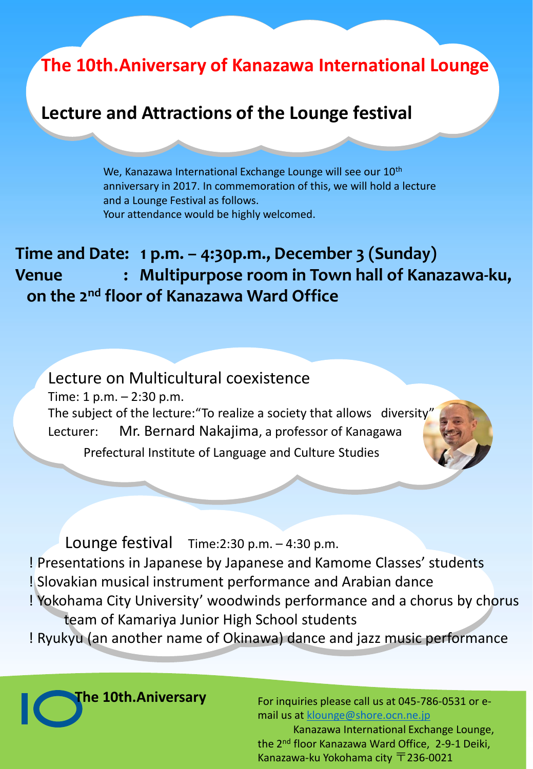## **The 10th.Aniversary of Kanazawa International Lounge**

## **Lecture and Attractions of the Lounge festival**

We, Kanazawa International Exchange Lounge will see our 10<sup>th</sup> anniversary in 2017. In commemoration of this, we will hold a lecture and a Lounge Festival as follows. Your attendance would be highly welcomed.

**Time and Date: 1 p.m. – 4:30p.m., December 3 (Sunday) Venue : Multipurpose room in Town hall of Kanazawa-ku, on the 2nd floor of Kanazawa Ward Office**

## Lecture on Multicultural coexistence

Time: 1 p.m. – 2:30 p.m.

The subject of the lecture: "To realize a society that allows diversity Lecturer: Mr. Bernard Nakajima, a professor of Kanagawa

Prefectural Institute of Language and Culture Studies

Lounge festival Time:2:30 p.m. - 4:30 p.m. ! Presentations in Japanese by Japanese and Kamome Classes' students ! Slovakian musical instrument performance and Arabian dance ! Yokohama City University' woodwinds performance and a chorus by chorus team of Kamariya Junior High School students

! Ryukyu (an another name of Okinawa) dance and jazz music performance

**The 10th.Aniversary** 

For inquiries please call us at 045-786-0531 or email us at [klounge@shore.ocn.ne.jp](mailto:klounge@shore.ocn.ne.jp)

Kanazawa International Exchange Lounge, the 2<sup>nd</sup> floor Kanazawa Ward Office, 2-9-1 Deiki, Kanazawa-ku Yokohama city  $\overline{T}$  236-0021